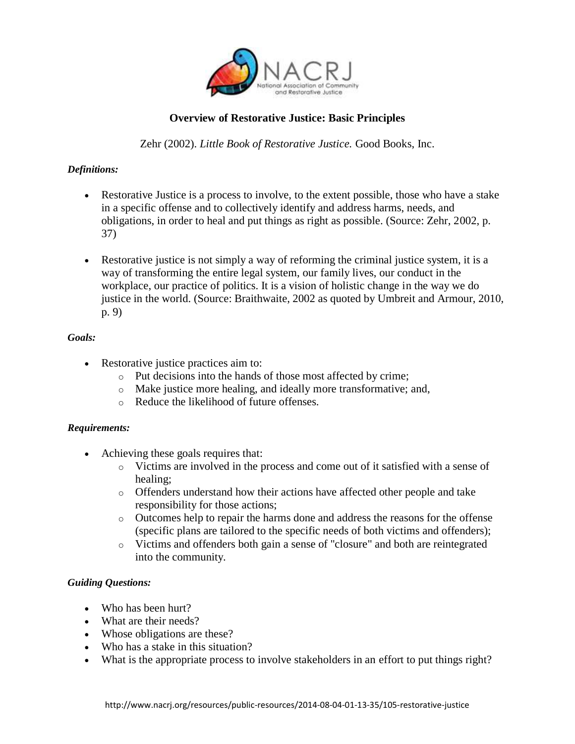

# **Overview of Restorative Justice: Basic Principles**

Zehr (2002). *Little Book of Restorative Justice.* Good Books, Inc.

## *Definitions:*

- Restorative Justice is a process to involve, to the extent possible, those who have a stake in a specific offense and to collectively identify and address harms, needs, and obligations, in order to heal and put things as right as possible. (Source: Zehr, 2002, p. 37)
- Restorative justice is not simply a way of reforming the criminal justice system, it is a way of transforming the entire legal system, our family lives, our conduct in the workplace, our practice of politics. It is a vision of holistic change in the way we do justice in the world. (Source: Braithwaite, 2002 as quoted by Umbreit and Armour, 2010, p. 9)

#### *Goals:*

- Restorative justice practices aim to:
	- o Put decisions into the hands of those most affected by crime;
	- o Make justice more healing, and ideally more transformative; and,
	- o Reduce the likelihood of future offenses.

#### *Requirements:*

- Achieving these goals requires that:
	- o Victims are involved in the process and come out of it satisfied with a sense of healing;
	- o Offenders understand how their actions have affected other people and take responsibility for those actions;
	- o Outcomes help to repair the harms done and address the reasons for the offense (specific plans are tailored to the specific needs of both victims and offenders);
	- o Victims and offenders both gain a sense of "closure" and both are reintegrated into the community.

#### *Guiding Questions:*

- Who has been hurt?
- What are their needs?
- Whose obligations are these?
- Who has a stake in this situation?
- What is the appropriate process to involve stakeholders in an effort to put things right?